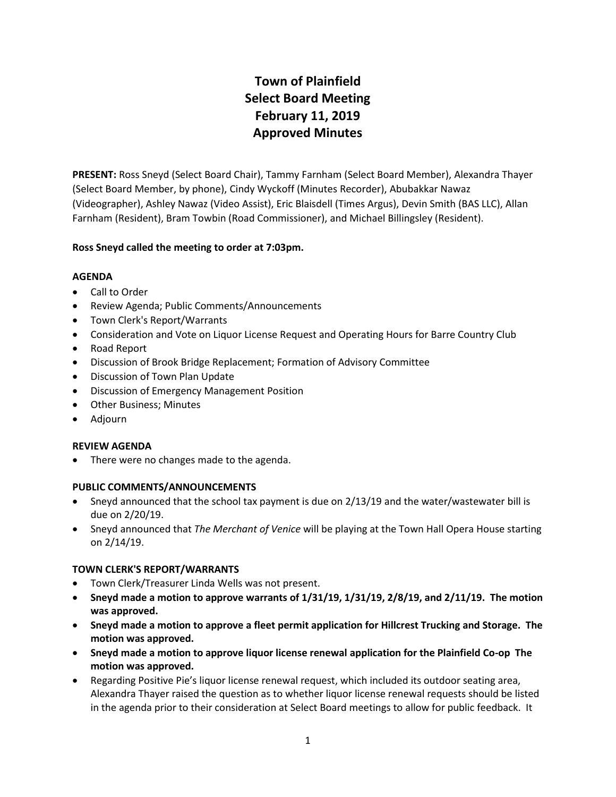# **Town of Plainfield Select Board Meeting February 11, 2019 Approved Minutes**

**PRESENT:** Ross Sneyd (Select Board Chair), Tammy Farnham (Select Board Member), Alexandra Thayer (Select Board Member, by phone), Cindy Wyckoff (Minutes Recorder), Abubakkar Nawaz (Videographer), Ashley Nawaz (Video Assist), Eric Blaisdell (Times Argus), Devin Smith (BAS LLC), Allan Farnham (Resident), Bram Towbin (Road Commissioner), and Michael Billingsley (Resident).

# **Ross Sneyd called the meeting to order at 7:03pm.**

# **AGENDA**

- Call to Order
- Review Agenda; Public Comments/Announcements
- Town Clerk's Report/Warrants
- Consideration and Vote on Liquor License Request and Operating Hours for Barre Country Club
- Road Report
- Discussion of Brook Bridge Replacement; Formation of Advisory Committee
- Discussion of Town Plan Update
- **•** Discussion of Emergency Management Position
- Other Business; Minutes
- Adjourn

# **REVIEW AGENDA**

• There were no changes made to the agenda.

# **PUBLIC COMMENTS/ANNOUNCEMENTS**

- Sneyd announced that the school tax payment is due on 2/13/19 and the water/wastewater bill is due on 2/20/19.
- Sneyd announced that *The Merchant of Venice* will be playing at the Town Hall Opera House starting on 2/14/19.

# **TOWN CLERK'S REPORT/WARRANTS**

- Town Clerk/Treasurer Linda Wells was not present.
- **Sneyd made a motion to approve warrants of 1/31/19, 1/31/19, 2/8/19, and 2/11/19. The motion was approved.**
- **Sneyd made a motion to approve a fleet permit application for Hillcrest Trucking and Storage. The motion was approved.**
- **Sneyd made a motion to approve liquor license renewal application for the Plainfield Co-op The motion was approved.**
- Regarding Positive Pie's liquor license renewal request, which included its outdoor seating area, Alexandra Thayer raised the question as to whether liquor license renewal requests should be listed in the agenda prior to their consideration at Select Board meetings to allow for public feedback. It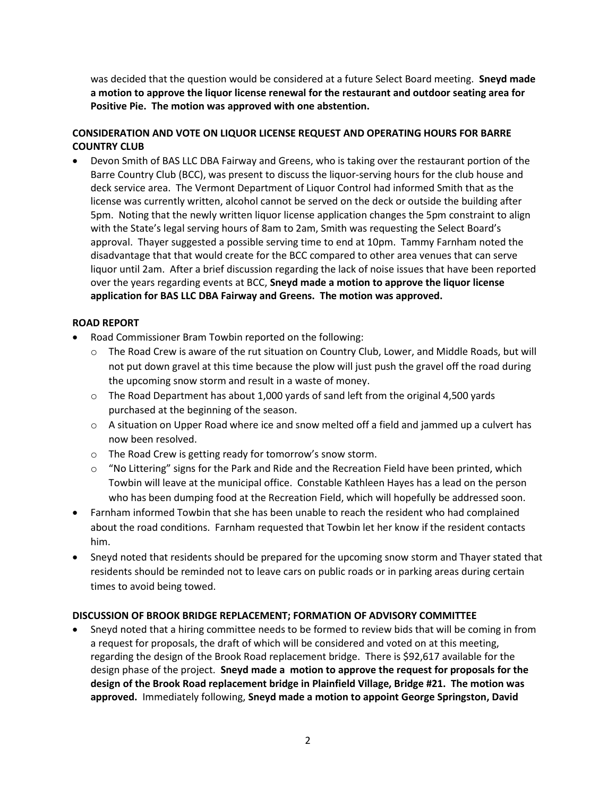was decided that the question would be considered at a future Select Board meeting. **Sneyd made a motion to approve the liquor license renewal for the restaurant and outdoor seating area for Positive Pie. The motion was approved with one abstention.** 

# **CONSIDERATION AND VOTE ON LIQUOR LICENSE REQUEST AND OPERATING HOURS FOR BARRE COUNTRY CLUB**

 Devon Smith of BAS LLC DBA Fairway and Greens, who is taking over the restaurant portion of the Barre Country Club (BCC), was present to discuss the liquor-serving hours for the club house and deck service area. The Vermont Department of Liquor Control had informed Smith that as the license was currently written, alcohol cannot be served on the deck or outside the building after 5pm. Noting that the newly written liquor license application changes the 5pm constraint to align with the State's legal serving hours of 8am to 2am, Smith was requesting the Select Board's approval. Thayer suggested a possible serving time to end at 10pm. Tammy Farnham noted the disadvantage that that would create for the BCC compared to other area venues that can serve liquor until 2am. After a brief discussion regarding the lack of noise issues that have been reported over the years regarding events at BCC, **Sneyd made a motion to approve the liquor license application for BAS LLC DBA Fairway and Greens. The motion was approved.**

# **ROAD REPORT**

- Road Commissioner Bram Towbin reported on the following:
	- o The Road Crew is aware of the rut situation on Country Club, Lower, and Middle Roads, but will not put down gravel at this time because the plow will just push the gravel off the road during the upcoming snow storm and result in a waste of money.
	- $\circ$  The Road Department has about 1,000 yards of sand left from the original 4,500 yards purchased at the beginning of the season.
	- $\circ$  A situation on Upper Road where ice and snow melted off a field and jammed up a culvert has now been resolved.
	- o The Road Crew is getting ready for tomorrow's snow storm.
	- $\circ$  "No Littering" signs for the Park and Ride and the Recreation Field have been printed, which Towbin will leave at the municipal office. Constable Kathleen Hayes has a lead on the person who has been dumping food at the Recreation Field, which will hopefully be addressed soon.
- Farnham informed Towbin that she has been unable to reach the resident who had complained about the road conditions. Farnham requested that Towbin let her know if the resident contacts him.
- Sneyd noted that residents should be prepared for the upcoming snow storm and Thayer stated that residents should be reminded not to leave cars on public roads or in parking areas during certain times to avoid being towed.

# **DISCUSSION OF BROOK BRIDGE REPLACEMENT; FORMATION OF ADVISORY COMMITTEE**

 Sneyd noted that a hiring committee needs to be formed to review bids that will be coming in from a request for proposals, the draft of which will be considered and voted on at this meeting, regarding the design of the Brook Road replacement bridge. There is \$92,617 available for the design phase of the project. **Sneyd made a motion to approve the request for proposals for the design of the Brook Road replacement bridge in Plainfield Village, Bridge #21. The motion was approved.** Immediately following, **Sneyd made a motion to appoint George Springston, David**